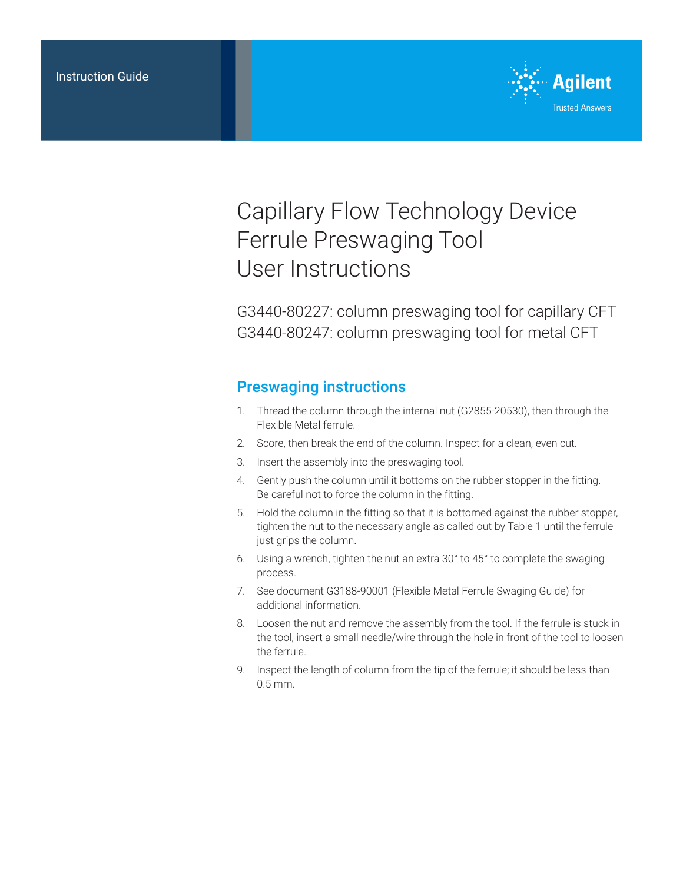

## Capillary Flow Technology Device Ferrule Preswaging Tool User Instructions

G3440-80227: column preswaging tool for capillary CFT G3440-80247: column preswaging tool for metal CFT

## Preswaging instructions

- 1. Thread the column through the internal nut (G2855-20530), then through the Flexible Metal ferrule.
- 2. Score, then break the end of the column. Inspect for a clean, even cut.
- 3. Insert the assembly into the preswaging tool.
- 4. Gently push the column until it bottoms on the rubber stopper in the fitting. Be careful not to force the column in the fitting.
- 5. Hold the column in the fitting so that it is bottomed against the rubber stopper, tighten the nut to the necessary angle as called out by Table 1 until the ferrule just grips the column.
- 6. Using a wrench, tighten the nut an extra 30° to 45° to complete the swaging process.
- 7. See document G3188-90001 (Flexible Metal Ferrule Swaging Guide) for additional information.
- 8. Loosen the nut and remove the assembly from the tool. If the ferrule is stuck in the tool, insert a small needle/wire through the hole in front of the tool to loosen the ferrule.
- 9. Inspect the length of column from the tip of the ferrule; it should be less than 0.5 mm.